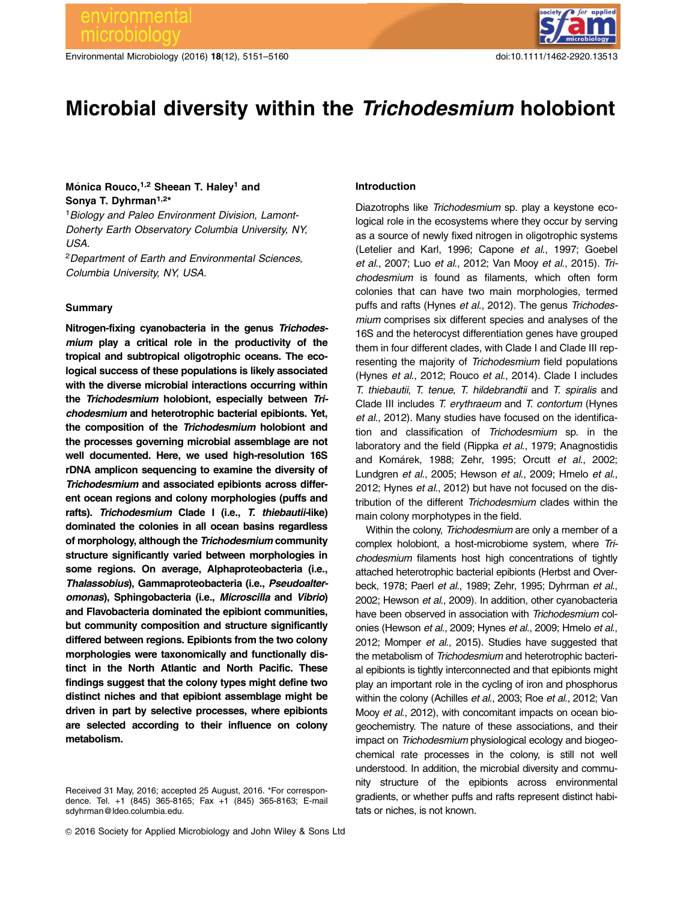Environmental Microbiology (2016) 18(12), 5151-5160 doi:10.1111/1462-2920.13513



# Microbial diversity within the Trichodesmium holobiont

## Mónica Rouco,<sup>1,2</sup> Sheean T. Haley<sup>1</sup> and Sonya T. Dyhrman<sup>1,2\*</sup>

<sup>1</sup> Biology and Paleo Environment Division, Lamont-Doherty Earth Observatory Columbia University, NY, USA.

<sup>2</sup>Department of Earth and Environmental Sciences, Columbia University, NY, USA.

#### Summary

Nitrogen-fixing cyanobacteria in the genus Trichodesmium play a critical role in the productivity of the tropical and subtropical oligotrophic oceans. The ecological success of these populations is likely associated with the diverse microbial interactions occurring within the Trichodesmium holobiont, especially between Trichodesmium and heterotrophic bacterial epibionts. Yet, the composition of the Trichodesmium holobiont and the processes governing microbial assemblage are not well documented. Here, we used high-resolution 16S rDNA amplicon sequencing to examine the diversity of Trichodesmium and associated epibionts across different ocean regions and colony morphologies (puffs and rafts). Trichodesmium Clade I (i.e., T. thiebautii-like) dominated the colonies in all ocean basins regardless of morphology, although the Trichodesmium community structure significantly varied between morphologies in some regions. On average, Alphaproteobacteria (i.e., Thalassobius), Gammaproteobacteria (i.e., Pseudoalteromonas), Sphingobacteria (i.e., Microscilla and Vibrio) and Flavobacteria dominated the epibiont communities, but community composition and structure significantly differed between regions. Epibionts from the two colony morphologies were taxonomically and functionally distinct in the North Atlantic and North Pacific. These findings suggest that the colony types might define two distinct niches and that epibiont assemblage might be driven in part by selective processes, where epibionts are selected according to their influence on colony metabolism.

#### Introduction

Diazotrophs like Trichodesmium sp. play a keystone ecological role in the ecosystems where they occur by serving as a source of newly fixed nitrogen in oligotrophic systems (Letelier and Karl, 1996; Capone et al., 1997; Goebel et al., 2007; Luo et al., 2012; Van Mooy et al., 2015). Trichodesmium is found as filaments, which often form colonies that can have two main morphologies, termed puffs and rafts (Hynes et al., 2012). The genus Trichodesmium comprises six different species and analyses of the 16S and the heterocyst differentiation genes have grouped them in four different clades, with Clade I and Clade III representing the majority of Trichodesmium field populations (Hynes et al., 2012; Rouco et al., 2014). Clade I includes T. thiebautii, T. tenue, T. hildebrandtii and T. spiralis and Clade III includes T. erythraeum and T. contortum (Hynes et al., 2012). Many studies have focused on the identification and classification of Trichodesmium sp. in the laboratory and the field (Rippka et al., 1979; Anagnostidis and Komárek, 1988; Zehr, 1995; Orcutt et al., 2002; Lundgren et al., 2005; Hewson et al., 2009; Hmelo et al., 2012; Hynes et al., 2012) but have not focused on the distribution of the different Trichodesmium clades within the main colony morphotypes in the field.

Within the colony, Trichodesmium are only a member of a complex holobiont, a host-microbiome system, where Trichodesmium filaments host high concentrations of tightly attached heterotrophic bacterial epibionts (Herbst and Overbeck, 1978; Paerl et al., 1989; Zehr, 1995; Dyhrman et al., 2002; Hewson et al., 2009). In addition, other cyanobacteria have been observed in association with Trichodesmium colonies (Hewson et al., 2009; Hynes et al., 2009; Hmelo et al., 2012; Momper et al., 2015). Studies have suggested that the metabolism of Trichodesmium and heterotrophic bacterial epibionts is tightly interconnected and that epibionts might play an important role in the cycling of iron and phosphorus within the colony (Achilles et al., 2003; Roe et al., 2012; Van Mooy et al., 2012), with concomitant impacts on ocean biogeochemistry. The nature of these associations, and their impact on Trichodesmium physiological ecology and biogeochemical rate processes in the colony, is still not well understood. In addition, the microbial diversity and community structure of the epibionts across environmental gradients, or whether puffs and rafts represent distinct habitats or niches, is not known.

Received 31 May, 2016; accepted 25 August, 2016. \*For correspondence. Tel. +1 (845) 365-8165; Fax +1 (845) 365-8163; E-mail sdyhrman@ldeo.columbia.edu.

 $©$  2016 Society for Applied Microbiology and John Wiley & Sons Ltd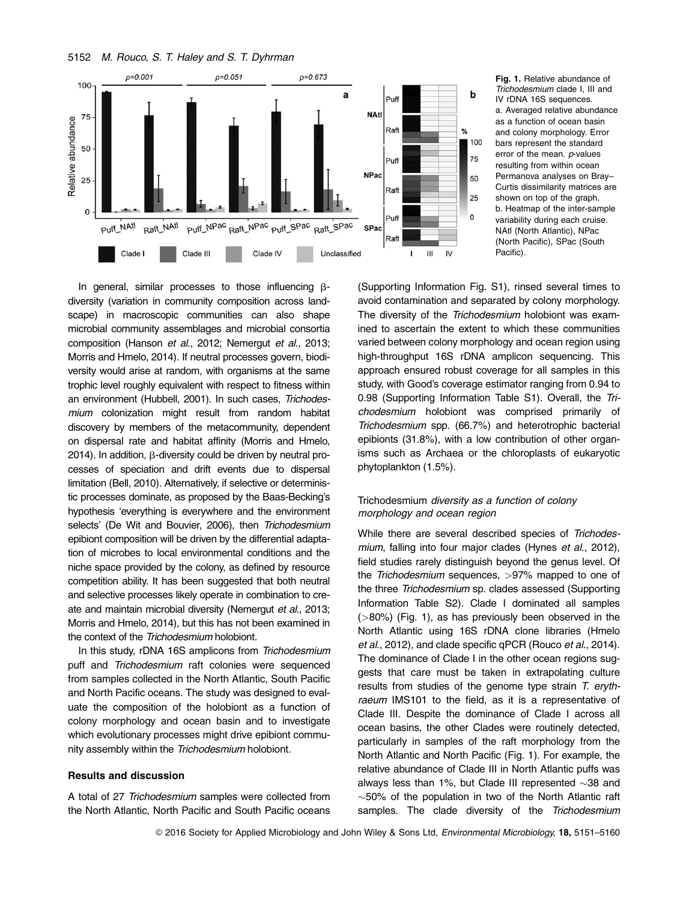5152 M. Rouco, S. T. Haley and S. T. Dyhrman



Fig. 1. Relative abundance of Trichodesmium clade I, III and IV rDNA 16S sequences. a. Averaged relative abundance as a function of ocean basin and colony morphology. Error bars represent the standard error of the mean. *p*-values resulting from within ocean Permanova analyses on Bray– Curtis dissimilarity matrices are shown on top of the graph. b. Heatmap of the inter-sample variability during each cruise. NAtl (North Atlantic), NPac (North Pacific), SPac (South Pacific).

In general, similar processes to those influencing  $\beta$ diversity (variation in community composition across landscape) in macroscopic communities can also shape microbial community assemblages and microbial consortia composition (Hanson et al., 2012; Nemergut et al., 2013; Morris and Hmelo, 2014). If neutral processes govern, biodiversity would arise at random, with organisms at the same trophic level roughly equivalent with respect to fitness within an environment (Hubbell, 2001). In such cases, Trichodesmium colonization might result from random habitat discovery by members of the metacommunity, dependent on dispersal rate and habitat affinity (Morris and Hmelo, 2014). In addition,  $\beta$ -diversity could be driven by neutral processes of speciation and drift events due to dispersal limitation (Bell, 2010). Alternatively, if selective or deterministic processes dominate, as proposed by the Baas-Becking's hypothesis 'everything is everywhere and the environment selects' (De Wit and Bouvier, 2006), then Trichodesmium epibiont composition will be driven by the differential adaptation of microbes to local environmental conditions and the niche space provided by the colony, as defined by resource competition ability. It has been suggested that both neutral and selective processes likely operate in combination to create and maintain microbial diversity (Nemergut et al., 2013; Morris and Hmelo, 2014), but this has not been examined in the context of the Trichodesmium holobiont.

In this study, rDNA 16S amplicons from Trichodesmium puff and Trichodesmium raft colonies were sequenced from samples collected in the North Atlantic, South Pacific and North Pacific oceans. The study was designed to evaluate the composition of the holobiont as a function of colony morphology and ocean basin and to investigate which evolutionary processes might drive epibiont community assembly within the Trichodesmium holobiont.

## Results and discussion

A total of 27 Trichodesmium samples were collected from the North Atlantic, North Pacific and South Pacific oceans

(Supporting Information Fig. S1), rinsed several times to avoid contamination and separated by colony morphology. The diversity of the Trichodesmium holobiont was examined to ascertain the extent to which these communities varied between colony morphology and ocean region using high-throughput 16S rDNA amplicon sequencing. This approach ensured robust coverage for all samples in this study, with Good's coverage estimator ranging from 0.94 to 0.98 (Supporting Information Table S1). Overall, the Trichodesmium holobiont was comprised primarily of Trichodesmium spp. (66.7%) and heterotrophic bacterial epibionts (31.8%), with a low contribution of other organisms such as Archaea or the chloroplasts of eukaryotic phytoplankton (1.5%).

## Trichodesmium diversity as a function of colony morphology and ocean region

While there are several described species of Trichodesmium, falling into four major clades (Hynes et al., 2012), field studies rarely distinguish beyond the genus level. Of the Trichodesmium sequences, >97% mapped to one of the three Trichodesmium sp. clades assessed (Supporting Information Table S2). Clade I dominated all samples (>80%) (Fig. 1), as has previously been observed in the North Atlantic using 16S rDNA clone libraries (Hmelo et al., 2012), and clade specific qPCR (Rouco et al., 2014). The dominance of Clade I in the other ocean regions suggests that care must be taken in extrapolating culture results from studies of the genome type strain T. erythraeum IMS101 to the field, as it is a representative of Clade III. Despite the dominance of Clade I across all ocean basins, the other Clades were routinely detected, particularly in samples of the raft morphology from the North Atlantic and North Pacific (Fig. 1). For example, the relative abundance of Clade III in North Atlantic puffs was always less than 1%, but Clade III represented  $\sim$ 38 and  $\sim$  50% of the population in two of the North Atlantic raft samples. The clade diversity of the Trichodesmium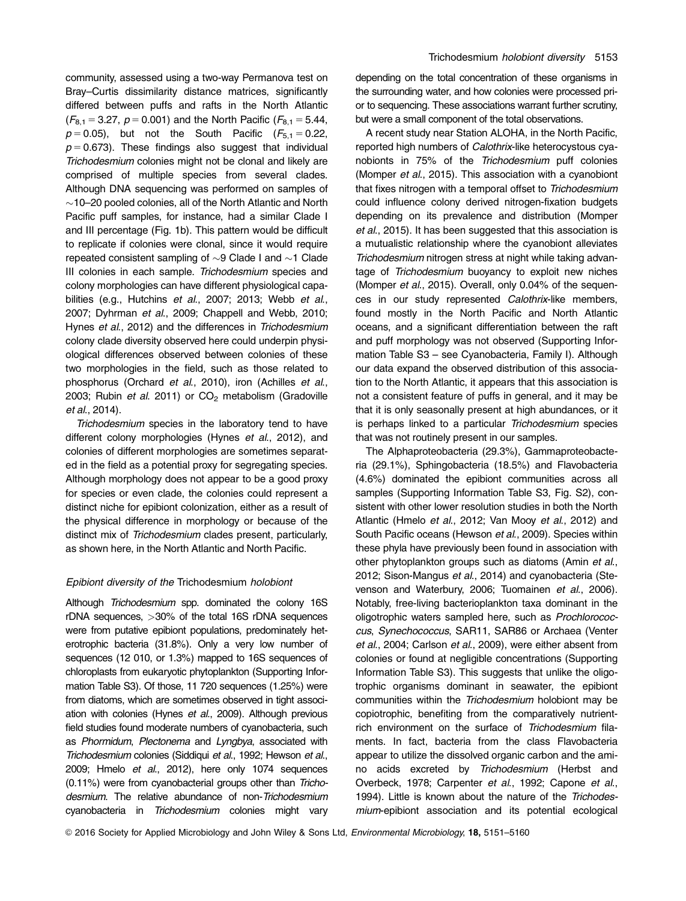community, assessed using a two-way Permanova test on Bray–Curtis dissimilarity distance matrices, significantly differed between puffs and rafts in the North Atlantic  $(F_{8,1} = 3.27, p = 0.001)$  and the North Pacific ( $F_{8,1} = 5.44$ ,  $p = 0.05$ ), but not the South Pacific ( $F_{5,1} = 0.22$ ,  $p = 0.673$ ). These findings also suggest that individual Trichodesmium colonies might not be clonal and likely are comprised of multiple species from several clades. Although DNA sequencing was performed on samples of  $\sim$ 10–20 pooled colonies, all of the North Atlantic and North Pacific puff samples, for instance, had a similar Clade I and III percentage (Fig. 1b). This pattern would be difficult to replicate if colonies were clonal, since it would require repeated consistent sampling of  $\sim$ 9 Clade I and  $\sim$ 1 Clade III colonies in each sample. Trichodesmium species and colony morphologies can have different physiological capabilities (e.g., Hutchins et al., 2007; 2013; Webb et al., 2007; Dyhrman et al., 2009; Chappell and Webb, 2010; Hynes et al., 2012) and the differences in Trichodesmium colony clade diversity observed here could underpin physiological differences observed between colonies of these two morphologies in the field, such as those related to phosphorus (Orchard et al., 2010), iron (Achilles et al., 2003; Rubin et al. 2011) or  $CO<sub>2</sub>$  metabolism (Gradoville et al., 2014).

Trichodesmium species in the laboratory tend to have different colony morphologies (Hynes et al., 2012), and colonies of different morphologies are sometimes separated in the field as a potential proxy for segregating species. Although morphology does not appear to be a good proxy for species or even clade, the colonies could represent a distinct niche for epibiont colonization, either as a result of the physical difference in morphology or because of the distinct mix of Trichodesmium clades present, particularly, as shown here, in the North Atlantic and North Pacific.

#### Epibiont diversity of the Trichodesmium holobiont

Although Trichodesmium spp. dominated the colony 16S rDNA sequences, >30% of the total 16S rDNA sequences were from putative epibiont populations, predominately heterotrophic bacteria (31.8%). Only a very low number of sequences (12 010, or 1.3%) mapped to 16S sequences of chloroplasts from eukaryotic phytoplankton (Supporting Information Table S3). Of those, 11 720 sequences (1.25%) were from diatoms, which are sometimes observed in tight association with colonies (Hynes et al., 2009). Although previous field studies found moderate numbers of cyanobacteria, such as Phormidum, Plectonema and Lyngbya, associated with Trichodesmium colonies (Siddiqui et al., 1992; Hewson et al., 2009; Hmelo et al., 2012), here only 1074 sequences (0.11%) were from cyanobacterial groups other than Trichodesmium. The relative abundance of non-Trichodesmium cyanobacteria in Trichodesmium colonies might vary depending on the total concentration of these organisms in the surrounding water, and how colonies were processed prior to sequencing. These associations warrant further scrutiny, but were a small component of the total observations.

A recent study near Station ALOHA, in the North Pacific, reported high numbers of Calothrix-like heterocystous cyanobionts in 75% of the Trichodesmium puff colonies (Momper et al., 2015). This association with a cyanobiont that fixes nitrogen with a temporal offset to Trichodesmium could influence colony derived nitrogen-fixation budgets depending on its prevalence and distribution (Momper et al., 2015). It has been suggested that this association is a mutualistic relationship where the cyanobiont alleviates Trichodesmium nitrogen stress at night while taking advantage of Trichodesmium buoyancy to exploit new niches (Momper et al., 2015). Overall, only 0.04% of the sequences in our study represented Calothrix-like members, found mostly in the North Pacific and North Atlantic oceans, and a significant differentiation between the raft and puff morphology was not observed (Supporting Information Table S3 – see Cyanobacteria, Family I). Although our data expand the observed distribution of this association to the North Atlantic, it appears that this association is not a consistent feature of puffs in general, and it may be that it is only seasonally present at high abundances, or it is perhaps linked to a particular Trichodesmium species that was not routinely present in our samples.

The Alphaproteobacteria (29.3%), Gammaproteobacteria (29.1%), Sphingobacteria (18.5%) and Flavobacteria (4.6%) dominated the epibiont communities across all samples (Supporting Information Table S3, Fig. S2), consistent with other lower resolution studies in both the North Atlantic (Hmelo et al., 2012; Van Mooy et al., 2012) and South Pacific oceans (Hewson et al., 2009). Species within these phyla have previously been found in association with other phytoplankton groups such as diatoms (Amin et al., 2012; Sison-Mangus et al., 2014) and cyanobacteria (Stevenson and Waterbury, 2006; Tuomainen et al., 2006). Notably, free-living bacterioplankton taxa dominant in the oligotrophic waters sampled here, such as Prochlorococcus, Synechococcus, SAR11, SAR86 or Archaea (Venter et al., 2004; Carlson et al., 2009), were either absent from colonies or found at negligible concentrations (Supporting Information Table S3). This suggests that unlike the oligotrophic organisms dominant in seawater, the epibiont communities within the Trichodesmium holobiont may be copiotrophic, benefiting from the comparatively nutrientrich environment on the surface of Trichodesmium filaments. In fact, bacteria from the class Flavobacteria appear to utilize the dissolved organic carbon and the amino acids excreted by Trichodesmium (Herbst and Overbeck, 1978; Carpenter et al., 1992; Capone et al., 1994). Little is known about the nature of the Trichodesmium-epibiont association and its potential ecological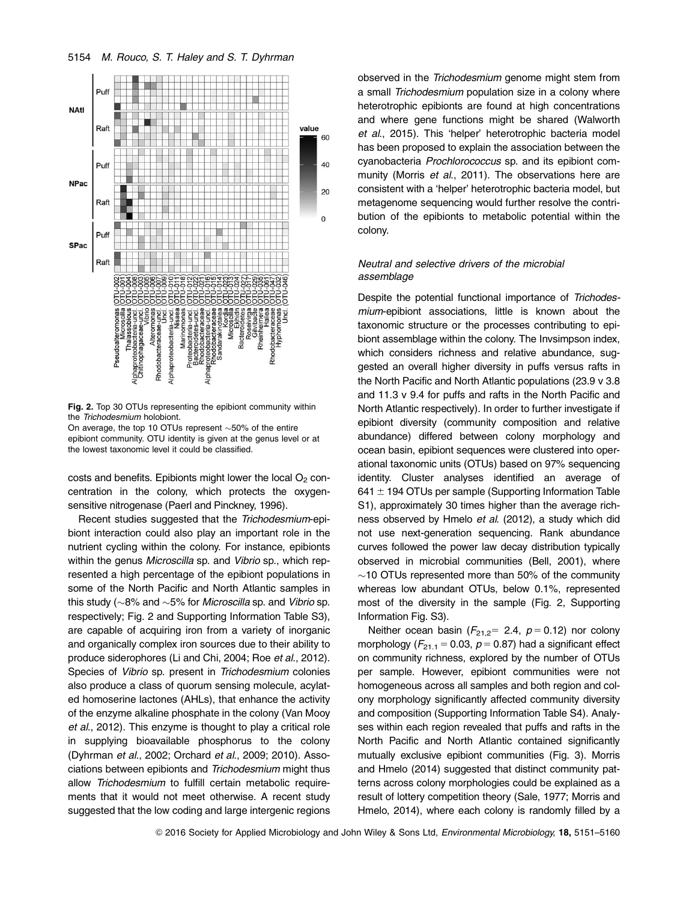



Fig. 2. Top 30 OTUs representing the epibiont community within the Trichodesmium holobiont.

On average, the top 10 OTUs represent  $\sim$ 50% of the entire epibiont community. OTU identity is given at the genus level or at the lowest taxonomic level it could be classified.

costs and benefits. Epibionts might lower the local  $O<sub>2</sub>$  concentration in the colony, which protects the oxygensensitive nitrogenase (Paerl and Pinckney, 1996).

Recent studies suggested that the Trichodesmium-epibiont interaction could also play an important role in the nutrient cycling within the colony. For instance, epibionts within the genus Microscilla sp. and Vibrio sp., which represented a high percentage of the epibiont populations in some of the North Pacific and North Atlantic samples in this study ( $\sim$ 8% and  $\sim$ 5% for *Microscilla* sp. and *Vibrio* sp. respectively; Fig. 2 and Supporting Information Table S3), are capable of acquiring iron from a variety of inorganic and organically complex iron sources due to their ability to produce siderophores (Li and Chi, 2004; Roe et al., 2012). Species of Vibrio sp. present in Trichodesmium colonies also produce a class of quorum sensing molecule, acylated homoserine lactones (AHLs), that enhance the activity of the enzyme alkaline phosphate in the colony (Van Mooy et al., 2012). This enzyme is thought to play a critical role in supplying bioavailable phosphorus to the colony (Dyhrman et al., 2002; Orchard et al., 2009; 2010). Associations between epibionts and Trichodesmium might thus allow Trichodesmium to fulfill certain metabolic requirements that it would not meet otherwise. A recent study suggested that the low coding and large intergenic regions

observed in the Trichodesmium genome might stem from a small Trichodesmium population size in a colony where heterotrophic epibionts are found at high concentrations and where gene functions might be shared (Walworth et al., 2015). This 'helper' heterotrophic bacteria model has been proposed to explain the association between the cyanobacteria Prochlorococcus sp. and its epibiont community (Morris et al., 2011). The observations here are consistent with a 'helper' heterotrophic bacteria model, but metagenome sequencing would further resolve the contribution of the epibionts to metabolic potential within the colony.

## Neutral and selective drivers of the microbial assemblage

Despite the potential functional importance of Trichodesmium-epibiont associations, little is known about the taxonomic structure or the processes contributing to epibiont assemblage within the colony. The Invsimpson index, which considers richness and relative abundance, suggested an overall higher diversity in puffs versus rafts in the North Pacific and North Atlantic populations (23.9 v 3.8 and 11.3 v 9.4 for puffs and rafts in the North Pacific and North Atlantic respectively). In order to further investigate if epibiont diversity (community composition and relative abundance) differed between colony morphology and ocean basin, epibiont sequences were clustered into operational taxonomic units (OTUs) based on 97% sequencing identity. Cluster analyses identified an average of 641  $\pm$  194 OTUs per sample (Supporting Information Table S1), approximately 30 times higher than the average richness observed by Hmelo et al. (2012), a study which did not use next-generation sequencing. Rank abundance curves followed the power law decay distribution typically observed in microbial communities (Bell, 2001), where  $\sim$ 10 OTUs represented more than 50% of the community whereas low abundant OTUs, below 0.1%, represented most of the diversity in the sample (Fig. 2, Supporting Information Fig. S3).

Neither ocean basin ( $F_{21,2}$ = 2.4,  $p$  = 0.12) nor colony morphology ( $F_{21.1}$  = 0.03,  $p$  = 0.87) had a significant effect on community richness, explored by the number of OTUs per sample. However, epibiont communities were not homogeneous across all samples and both region and colony morphology significantly affected community diversity and composition (Supporting Information Table S4). Analyses within each region revealed that puffs and rafts in the North Pacific and North Atlantic contained significantly mutually exclusive epibiont communities (Fig. 3). Morris and Hmelo (2014) suggested that distinct community patterns across colony morphologies could be explained as a result of lottery competition theory (Sale, 1977; Morris and Hmelo, 2014), where each colony is randomly filled by a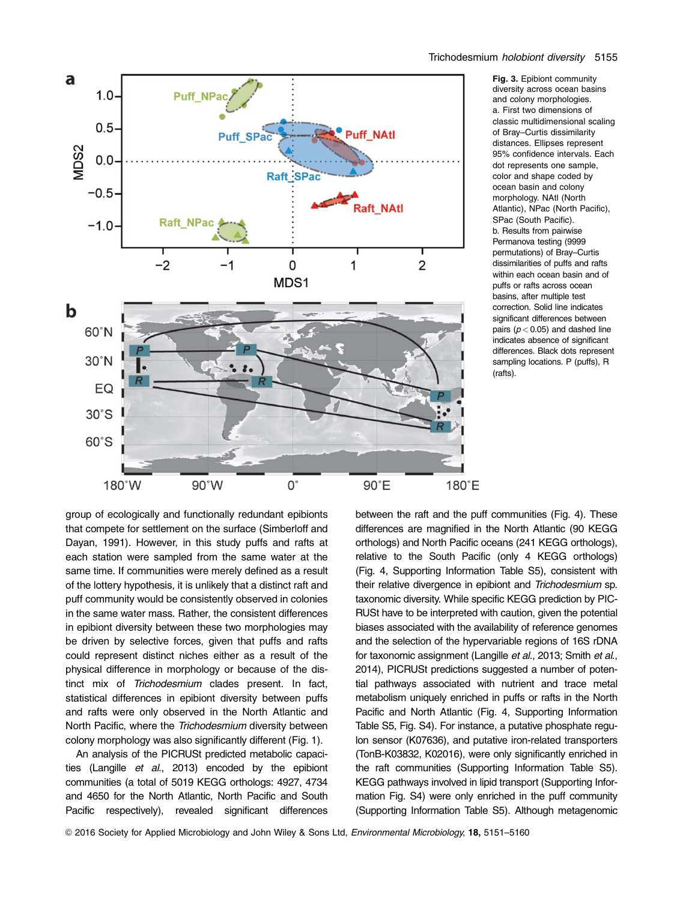

Fig. 3. Epibiont community diversity across ocean basins and colony morphologies. a. First two dimensions of classic multidimensional scaling of Bray–Curtis dissimilarity distances. Ellipses represent 95% confidence intervals. Each dot represents one sample, color and shape coded by ocean basin and colony morphology. NAtl (North Atlantic), NPac (North Pacific), SPac (South Pacific). b. Results from pairwise Permanova testing (9999 permutations) of Bray–Curtis dissimilarities of puffs and rafts within each ocean basin and of puffs or rafts across ocean basins, after multiple test correction. Solid line indicates significant differences between pairs ( $p < 0.05$ ) and dashed line indicates absence of significant differences. Black dots represent sampling locations. P (puffs), R

group of ecologically and functionally redundant epibionts that compete for settlement on the surface (Simberloff and Dayan, 1991). However, in this study puffs and rafts at each station were sampled from the same water at the same time. If communities were merely defined as a result of the lottery hypothesis, it is unlikely that a distinct raft and puff community would be consistently observed in colonies in the same water mass. Rather, the consistent differences in epibiont diversity between these two morphologies may be driven by selective forces, given that puffs and rafts could represent distinct niches either as a result of the physical difference in morphology or because of the distinct mix of Trichodesmium clades present. In fact, statistical differences in epibiont diversity between puffs and rafts were only observed in the North Atlantic and North Pacific, where the Trichodesmium diversity between colony morphology was also significantly different (Fig. 1).

An analysis of the PICRUSt predicted metabolic capacities (Langille et al., 2013) encoded by the epibiont communities (a total of 5019 KEGG orthologs: 4927, 4734 and 4650 for the North Atlantic, North Pacific and South Pacific respectively), revealed significant differences between the raft and the puff communities (Fig. 4). These differences are magnified in the North Atlantic (90 KEGG orthologs) and North Pacific oceans (241 KEGG orthologs), relative to the South Pacific (only 4 KEGG orthologs) (Fig. 4, Supporting Information Table S5), consistent with their relative divergence in epibiont and Trichodesmium sp. taxonomic diversity. While specific KEGG prediction by PIC-RUSt have to be interpreted with caution, given the potential biases associated with the availability of reference genomes and the selection of the hypervariable regions of 16S rDNA for taxonomic assignment (Langille et al., 2013; Smith et al., 2014), PICRUSt predictions suggested a number of potential pathways associated with nutrient and trace metal metabolism uniquely enriched in puffs or rafts in the North Pacific and North Atlantic (Fig. 4, Supporting Information Table S5, Fig. S4). For instance, a putative phosphate regulon sensor (K07636), and putative iron-related transporters (TonB-K03832, K02016), were only significantly enriched in the raft communities (Supporting Information Table S5). KEGG pathways involved in lipid transport (Supporting Information Fig. S4) were only enriched in the puff community (Supporting Information Table S5). Although metagenomic

(rafts).

© 2016 Society for Applied Microbiology and John Wiley & Sons Ltd, Environmental Microbiology, 18, 5151–5160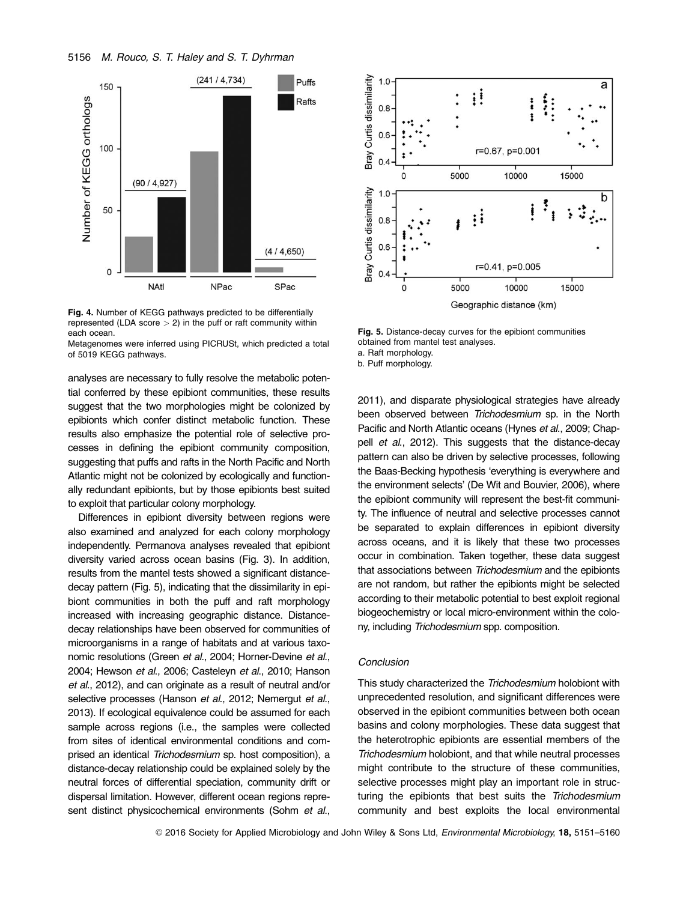



Metagenomes were inferred using PICRUSt, which predicted a total of 5019 KEGG pathways.

analyses are necessary to fully resolve the metabolic potential conferred by these epibiont communities, these results suggest that the two morphologies might be colonized by epibionts which confer distinct metabolic function. These results also emphasize the potential role of selective processes in defining the epibiont community composition, suggesting that puffs and rafts in the North Pacific and North Atlantic might not be colonized by ecologically and functionally redundant epibionts, but by those epibionts best suited to exploit that particular colony morphology.

Differences in epibiont diversity between regions were also examined and analyzed for each colony morphology independently. Permanova analyses revealed that epibiont diversity varied across ocean basins (Fig. 3). In addition, results from the mantel tests showed a significant distancedecay pattern (Fig. 5), indicating that the dissimilarity in epibiont communities in both the puff and raft morphology increased with increasing geographic distance. Distancedecay relationships have been observed for communities of microorganisms in a range of habitats and at various taxonomic resolutions (Green et al., 2004; Horner-Devine et al., 2004; Hewson et al., 2006; Casteleyn et al., 2010; Hanson et al., 2012), and can originate as a result of neutral and/or selective processes (Hanson et al., 2012; Nemergut et al., 2013). If ecological equivalence could be assumed for each sample across regions (i.e., the samples were collected from sites of identical environmental conditions and comprised an identical Trichodesmium sp. host composition), a distance-decay relationship could be explained solely by the neutral forces of differential speciation, community drift or dispersal limitation. However, different ocean regions represent distinct physicochemical environments (Sohm et al.,



Fig. 5. Distance-decay curves for the epibiont communities obtained from mantel test analyses.

a. Raft morphology. b. Puff morphology.

2011), and disparate physiological strategies have already been observed between Trichodesmium sp. in the North Pacific and North Atlantic oceans (Hynes et al., 2009; Chappell et al., 2012). This suggests that the distance-decay pattern can also be driven by selective processes, following the Baas-Becking hypothesis 'everything is everywhere and the environment selects' (De Wit and Bouvier, 2006), where the epibiont community will represent the best-fit community. The influence of neutral and selective processes cannot be separated to explain differences in epibiont diversity across oceans, and it is likely that these two processes occur in combination. Taken together, these data suggest that associations between Trichodesmium and the epibionts are not random, but rather the epibionts might be selected according to their metabolic potential to best exploit regional biogeochemistry or local micro-environment within the colony, including Trichodesmium spp. composition.

## Conclusion

This study characterized the Trichodesmium holobiont with unprecedented resolution, and significant differences were observed in the epibiont communities between both ocean basins and colony morphologies. These data suggest that the heterotrophic epibionts are essential members of the Trichodesmium holobiont, and that while neutral processes might contribute to the structure of these communities, selective processes might play an important role in structuring the epibionts that best suits the Trichodesmium community and best exploits the local environmental

© 2016 Society for Applied Microbiology and John Wiley & Sons Ltd, Environmental Microbiology, 18, 5151-5160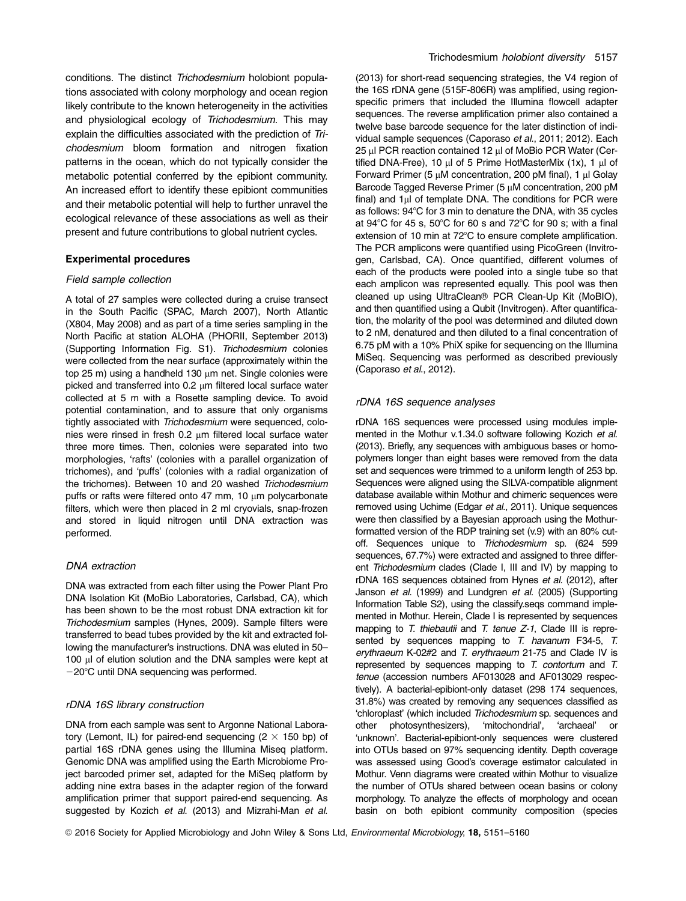conditions. The distinct Trichodesmium holobiont populations associated with colony morphology and ocean region likely contribute to the known heterogeneity in the activities and physiological ecology of Trichodesmium. This may explain the difficulties associated with the prediction of Trichodesmium bloom formation and nitrogen fixation patterns in the ocean, which do not typically consider the metabolic potential conferred by the epibiont community. An increased effort to identify these epibiont communities and their metabolic potential will help to further unravel the ecological relevance of these associations as well as their present and future contributions to global nutrient cycles.

### Experimental procedures

#### Field sample collection

A total of 27 samples were collected during a cruise transect in the South Pacific (SPAC, March 2007), North Atlantic (X804, May 2008) and as part of a time series sampling in the North Pacific at station ALOHA (PHORII, September 2013) (Supporting Information Fig. S1). Trichodesmium colonies were collected from the near surface (approximately within the top 25 m) using a handheld 130 um net. Single colonies were picked and transferred into  $0.2 \mu m$  filtered local surface water collected at 5 m with a Rosette sampling device. To avoid potential contamination, and to assure that only organisms tightly associated with Trichodesmium were sequenced, colonies were rinsed in fresh  $0.2 \mu m$  filtered local surface water three more times. Then, colonies were separated into two morphologies, 'rafts' (colonies with a parallel organization of trichomes), and 'puffs' (colonies with a radial organization of the trichomes). Between 10 and 20 washed Trichodesmium puffs or rafts were filtered onto 47 mm, 10  $\mu$ m polycarbonate filters, which were then placed in 2 ml cryovials, snap-frozen and stored in liquid nitrogen until DNA extraction was performed.

#### DNA extraction

DNA was extracted from each filter using the Power Plant Pro DNA Isolation Kit (MoBio Laboratories, Carlsbad, CA), which has been shown to be the most robust DNA extraction kit for Trichodesmium samples (Hynes, 2009). Sample filters were transferred to bead tubes provided by the kit and extracted following the manufacturer's instructions. DNA was eluted in 50– 100 µl of elution solution and the DNA samples were kept at  $-20^{\circ}$ C until DNA sequencing was performed.

#### rDNA 16S library construction

DNA from each sample was sent to Argonne National Laboratory (Lemont, IL) for paired-end sequencing  $(2 \times 150$  bp) of partial 16S rDNA genes using the Illumina Miseq platform. Genomic DNA was amplified using the Earth Microbiome Project barcoded primer set, adapted for the MiSeq platform by adding nine extra bases in the adapter region of the forward amplification primer that support paired-end sequencing. As suggested by Kozich et al. (2013) and Mizrahi-Man et al.

(2013) for short-read sequencing strategies, the V4 region of the 16S rDNA gene (515F-806R) was amplified, using regionspecific primers that included the Illumina flowcell adapter sequences. The reverse amplification primer also contained a twelve base barcode sequence for the later distinction of individual sample sequences (Caporaso et al., 2011; 2012). Each 25 µl PCR reaction contained 12 µl of MoBio PCR Water (Certified DNA-Free), 10  $\mu$ l of 5 Prime HotMasterMix (1x), 1  $\mu$ l of Forward Primer (5  $\mu$ M concentration, 200 pM final), 1  $\mu$ l Golay Barcode Tagged Reverse Primer (5 µM concentration, 200 pM final) and  $1\mu$  of template DNA. The conditions for PCR were as follows: 94°C for 3 min to denature the DNA, with 35 cycles at  $94^{\circ}$ C for 45 s,  $50^{\circ}$ C for 60 s and  $72^{\circ}$ C for 90 s; with a final extension of 10 min at 72°C to ensure complete amplification. The PCR amplicons were quantified using PicoGreen (Invitrogen, Carlsbad, CA). Once quantified, different volumes of each of the products were pooled into a single tube so that each amplicon was represented equally. This pool was then cleaned up using UltraClean® PCR Clean-Up Kit (MoBIO), and then quantified using a Qubit (Invitrogen). After quantification, the molarity of the pool was determined and diluted down to 2 nM, denatured and then diluted to a final concentration of 6.75 pM with a 10% PhiX spike for sequencing on the Illumina MiSeq. Sequencing was performed as described previously (Caporaso et al., 2012).

#### rDNA 16S sequence analyses

rDNA 16S sequences were processed using modules implemented in the Mothur v.1.34.0 software following Kozich et al. (2013). Briefly, any sequences with ambiguous bases or homopolymers longer than eight bases were removed from the data set and sequences were trimmed to a uniform length of 253 bp. Sequences were aligned using the SILVA-compatible alignment database available within Mothur and chimeric sequences were removed using Uchime (Edgar et al., 2011). Unique sequences were then classified by a Bayesian approach using the Mothurformatted version of the RDP training set (v.9) with an 80% cutoff. Sequences unique to Trichodesmium sp. (624 599 sequences, 67.7%) were extracted and assigned to three different Trichodesmium clades (Clade I, III and IV) by mapping to rDNA 16S sequences obtained from Hynes et al. (2012), after Janson et al. (1999) and Lundgren et al. (2005) (Supporting Information Table S2), using the classify.seqs command implemented in Mothur. Herein, Clade I is represented by sequences mapping to T. thiebautii and T. tenue Z-1, Clade III is represented by sequences mapping to T. havanum F34-5, T. erythraeum K-02#2 and T. erythraeum 21-75 and Clade IV is represented by sequences mapping to T. contortum and T. tenue (accession numbers AF013028 and AF013029 respectively). A bacterial-epibiont-only dataset (298 174 sequences, 31.8%) was created by removing any sequences classified as 'chloroplast' (which included Trichodesmium sp. sequences and other photosynthesizers), 'mitochondrial', 'archaeal' or 'unknown'. Bacterial-epibiont-only sequences were clustered into OTUs based on 97% sequencing identity. Depth coverage was assessed using Good's coverage estimator calculated in Mothur. Venn diagrams were created within Mothur to visualize the number of OTUs shared between ocean basins or colony morphology. To analyze the effects of morphology and ocean basin on both epibiont community composition (species

© 2016 Society for Applied Microbiology and John Wiley & Sons Ltd, Environmental Microbiology, 18, 5151-5160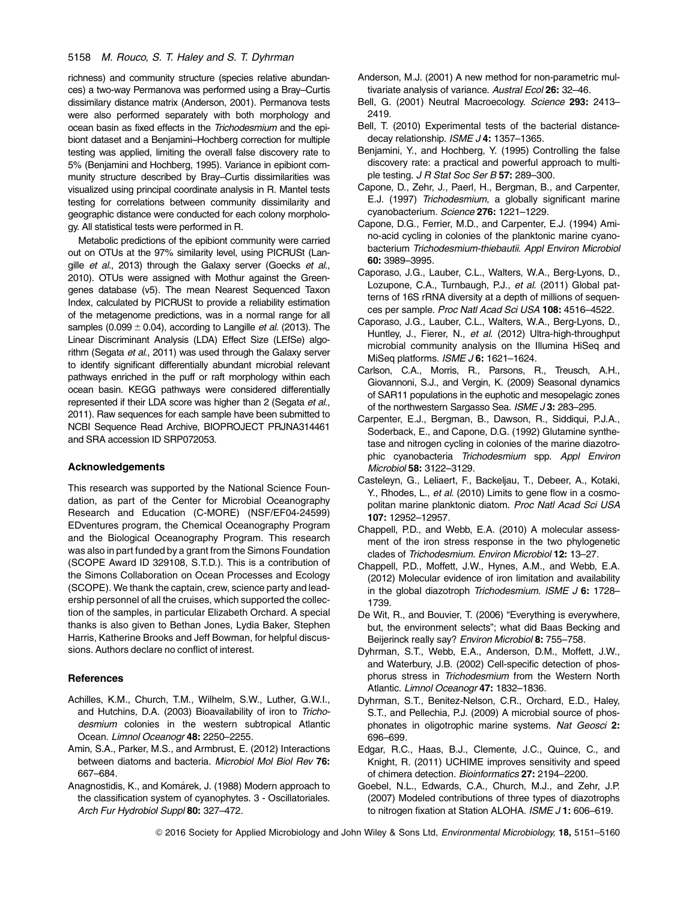### 5158 M. Rouco, S. T. Haley and S. T. Dyhrman

richness) and community structure (species relative abundances) a two-way Permanova was performed using a Bray–Curtis dissimilary distance matrix (Anderson, 2001). Permanova tests were also performed separately with both morphology and ocean basin as fixed effects in the Trichodesmium and the epibiont dataset and a Benjamini–Hochberg correction for multiple testing was applied, limiting the overall false discovery rate to 5% (Benjamini and Hochberg, 1995). Variance in epibiont community structure described by Bray–Curtis dissimilarities was visualized using principal coordinate analysis in R. Mantel tests testing for correlations between community dissimilarity and geographic distance were conducted for each colony morphology. All statistical tests were performed in R.

Metabolic predictions of the epibiont community were carried out on OTUs at the 97% similarity level, using PICRUSt (Langille et al., 2013) through the Galaxy server (Goecks et al., 2010). OTUs were assigned with Mothur against the Greengenes database (v5). The mean Nearest Sequenced Taxon Index, calculated by PICRUSt to provide a reliability estimation of the metagenome predictions, was in a normal range for all samples (0.099  $\pm$  0.04), according to Langille *et al.* (2013). The Linear Discriminant Analysis (LDA) Effect Size (LEfSe) algorithm (Segata et al., 2011) was used through the Galaxy server to identify significant differentially abundant microbial relevant pathways enriched in the puff or raft morphology within each ocean basin. KEGG pathways were considered differentially represented if their LDA score was higher than 2 (Segata et al., 2011). Raw sequences for each sample have been submitted to NCBI Sequence Read Archive, BIOPROJECT PRJNA314461 and SRA accession ID SRP072053.

#### Acknowledgements

This research was supported by the National Science Foundation, as part of the Center for Microbial Oceanography Research and Education (C-MORE) (NSF/EF04-24599) EDventures program, the Chemical Oceanography Program and the Biological Oceanography Program. This research was also in part funded by a grant from the Simons Foundation (SCOPE Award ID 329108, S.T.D.). This is a contribution of the Simons Collaboration on Ocean Processes and Ecology (SCOPE). We thank the captain, crew, science party and leadership personnel of all the cruises, which supported the collection of the samples, in particular Elizabeth Orchard. A special thanks is also given to Bethan Jones, Lydia Baker, Stephen Harris, Katherine Brooks and Jeff Bowman, for helpful discussions. Authors declare no conflict of interest.

#### **References**

- Achilles, K.M., Church, T.M., Wilhelm, S.W., Luther, G.W.I., and Hutchins, D.A. (2003) Bioavailability of iron to Trichodesmium colonies in the western subtropical Atlantic Ocean. Limnol Oceanogr 48: 2250–2255.
- Amin, S.A., Parker, M.S., and Armbrust, E. (2012) Interactions between diatoms and bacteria. Microbiol Mol Biol Rev 76: 667–684.
- Anagnostidis, K., and Komárek, J. (1988) Modern approach to the classification system of cyanophytes. 3 - Oscillatoriales. Arch Fur Hydrobiol Suppl 80: 327–472.
- Anderson, M.J. (2001) A new method for non-parametric multivariate analysis of variance. Austral Ecol 26: 32-46.
- Bell, G. (2001) Neutral Macroecology. Science 293: 2413-2419.
- Bell, T. (2010) Experimental tests of the bacterial distancedecay relationship. ISME J 4: 1357-1365.
- Benjamini, Y., and Hochberg, Y. (1995) Controlling the false discovery rate: a practical and powerful approach to multiple testing. J R Stat Soc Ser B 57: 289-300.
- Capone, D., Zehr, J., Paerl, H., Bergman, B., and Carpenter, E.J. (1997) Trichodesmium, a globally significant marine cyanobacterium. Science 276: 1221–1229.
- Capone, D.G., Ferrier, M.D., and Carpenter, E.J. (1994) Amino-acid cycling in colonies of the planktonic marine cyanobacterium Trichodesmium-thiebautii. Appl Environ Microbiol 60: 3989–3995.
- Caporaso, J.G., Lauber, C.L., Walters, W.A., Berg-Lyons, D., Lozupone, C.A., Turnbaugh, P.J., et al. (2011) Global patterns of 16S rRNA diversity at a depth of millions of sequences per sample. Proc Natl Acad Sci USA 108: 4516–4522.
- Caporaso, J.G., Lauber, C.L., Walters, W.A., Berg-Lyons, D., Huntley, J., Fierer, N., et al. (2012) Ultra-high-throughput microbial community analysis on the Illumina HiSeq and MiSeq platforms. ISME J 6: 1621-1624.
- Carlson, C.A., Morris, R., Parsons, R., Treusch, A.H., Giovannoni, S.J., and Vergin, K. (2009) Seasonal dynamics of SAR11 populations in the euphotic and mesopelagic zones of the northwestern Sargasso Sea. ISME J 3: 283-295.
- Carpenter, E.J., Bergman, B., Dawson, R., Siddiqui, P.J.A., Soderback, E., and Capone, D.G. (1992) Glutamine synthetase and nitrogen cycling in colonies of the marine diazotrophic cyanobacteria Trichodesmium spp. Appl Environ Microbiol 58: 3122–3129.
- Casteleyn, G., Leliaert, F., Backeljau, T., Debeer, A., Kotaki, Y., Rhodes, L., et al. (2010) Limits to gene flow in a cosmopolitan marine planktonic diatom. Proc Natl Acad Sci USA 107: 12952–12957.
- Chappell, P.D., and Webb, E.A. (2010) A molecular assessment of the iron stress response in the two phylogenetic clades of Trichodesmium. Environ Microbiol 12: 13–27.
- Chappell, P.D., Moffett, J.W., Hynes, A.M., and Webb, E.A. (2012) Molecular evidence of iron limitation and availability in the global diazotroph Trichodesmium. ISME  $J$  6: 1728– 1739.
- De Wit, R., and Bouvier, T. (2006) "Everything is everywhere, but, the environment selects"; what did Baas Becking and Beijerinck really say? Environ Microbiol 8: 755–758.
- Dyhrman, S.T., Webb, E.A., Anderson, D.M., Moffett, J.W., and Waterbury, J.B. (2002) Cell-specific detection of phosphorus stress in Trichodesmium from the Western North Atlantic. Limnol Oceanogr 47: 1832–1836.
- Dyhrman, S.T., Benitez-Nelson, C.R., Orchard, E.D., Haley, S.T., and Pellechia, P.J. (2009) A microbial source of phosphonates in oligotrophic marine systems. Nat Geosci 2: 696–699.
- Edgar, R.C., Haas, B.J., Clemente, J.C., Quince, C., and Knight, R. (2011) UCHIME improves sensitivity and speed of chimera detection. Bioinformatics 27: 2194–2200.
- Goebel, N.L., Edwards, C.A., Church, M.J., and Zehr, J.P. (2007) Modeled contributions of three types of diazotrophs to nitrogen fixation at Station ALOHA. ISME J1: 606-619.

© 2016 Society for Applied Microbiology and John Wiley & Sons Ltd, Environmental Microbiology, 18, 5151-5160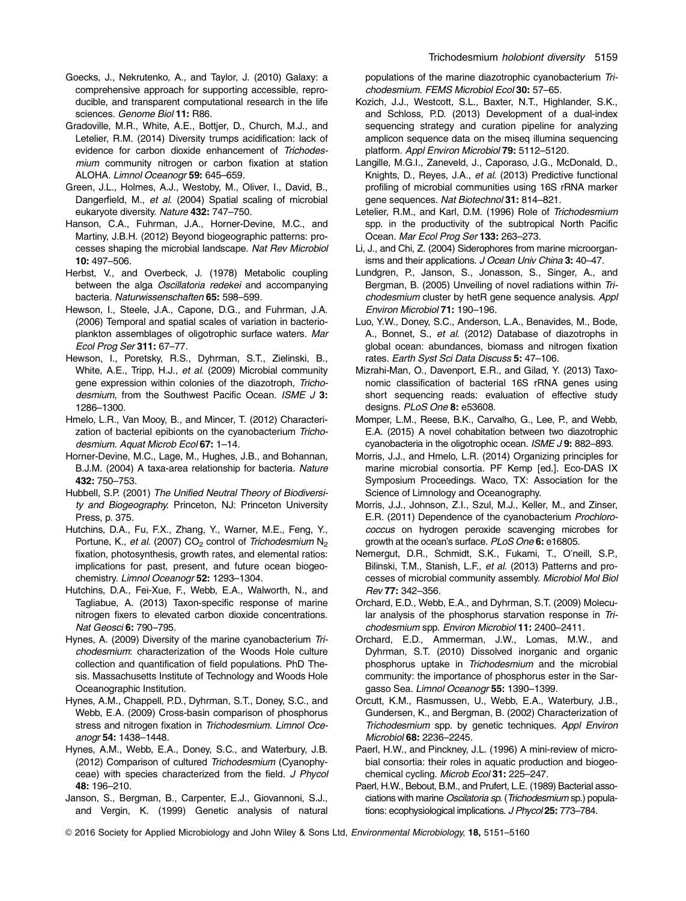- Goecks, J., Nekrutenko, A., and Taylor, J. (2010) Galaxy: a comprehensive approach for supporting accessible, reproducible, and transparent computational research in the life sciences. Genome Biol 11: R86.
- Gradoville, M.R., White, A.E., Bottjer, D., Church, M.J., and Letelier, R.M. (2014) Diversity trumps acidification: lack of evidence for carbon dioxide enhancement of Trichodesmium community nitrogen or carbon fixation at station ALOHA. Limnol Oceanogr 59: 645–659.
- Green, J.L., Holmes, A.J., Westoby, M., Oliver, I., David, B., Dangerfield, M., et al. (2004) Spatial scaling of microbial eukaryote diversity. Nature 432: 747–750.
- Hanson, C.A., Fuhrman, J.A., Horner-Devine, M.C., and Martiny, J.B.H. (2012) Beyond biogeographic patterns: processes shaping the microbial landscape. Nat Rev Microbiol 10: 497–506.
- Herbst, V., and Overbeck, J. (1978) Metabolic coupling between the alga Oscillatoria redekei and accompanying bacteria. Naturwissenschaften 65: 598–599.
- Hewson, I., Steele, J.A., Capone, D.G., and Fuhrman, J.A. (2006) Temporal and spatial scales of variation in bacterioplankton assemblages of oligotrophic surface waters. Mar Ecol Prog Ser 311: 67–77.
- Hewson, I., Poretsky, R.S., Dyhrman, S.T., Zielinski, B., White, A.E., Tripp, H.J., et al. (2009) Microbial community gene expression within colonies of the diazotroph, Trichodesmium, from the Southwest Pacific Ocean. ISME J 3: 1286–1300.
- Hmelo, L.R., Van Mooy, B., and Mincer, T. (2012) Characterization of bacterial epibionts on the cyanobacterium Trichodesmium. Aquat Microb Ecol 67: 1–14.
- Horner-Devine, M.C., Lage, M., Hughes, J.B., and Bohannan, B.J.M. (2004) A taxa-area relationship for bacteria. Nature 432: 750–753.
- Hubbell, S.P. (2001) The Unified Neutral Theory of Biodiversity and Biogeography. Princeton, NJ: Princeton University Press, p. 375.
- Hutchins, D.A., Fu, F.X., Zhang, Y., Warner, M.E., Feng, Y., Portune, K., et al. (2007)  $CO<sub>2</sub>$  control of Trichodesmium  $N<sub>2</sub>$ fixation, photosynthesis, growth rates, and elemental ratios: implications for past, present, and future ocean biogeochemistry. Limnol Oceanogr 52: 1293–1304.
- Hutchins, D.A., Fei-Xue, F., Webb, E.A., Walworth, N., and Tagliabue, A. (2013) Taxon-specific response of marine nitrogen fixers to elevated carbon dioxide concentrations. Nat Geosci 6: 790–795.
- Hynes, A. (2009) Diversity of the marine cyanobacterium Trichodesmium: characterization of the Woods Hole culture collection and quantification of field populations. PhD Thesis. Massachusetts Institute of Technology and Woods Hole Oceanographic Institution.
- Hynes, A.M., Chappell, P.D., Dyhrman, S.T., Doney, S.C., and Webb, E.A. (2009) Cross-basin comparison of phosphorus stress and nitrogen fixation in Trichodesmium. Limnol Oceanogr 54: 1438–1448.
- Hynes, A.M., Webb, E.A., Doney, S.C., and Waterbury, J.B. (2012) Comparison of cultured Trichodesmium (Cyanophyceae) with species characterized from the field. J Phycol 48: 196–210.
- Janson, S., Bergman, B., Carpenter, E.J., Giovannoni, S.J., and Vergin, K. (1999) Genetic analysis of natural

populations of the marine diazotrophic cyanobacterium Trichodesmium. FEMS Microbiol Ecol 30: 57–65.

- Kozich, J.J., Westcott, S.L., Baxter, N.T., Highlander, S.K., and Schloss, P.D. (2013) Development of a dual-index sequencing strategy and curation pipeline for analyzing amplicon sequence data on the miseq illumina sequencing platform. Appl Environ Microbiol 79: 5112–5120.
- Langille, M.G.I., Zaneveld, J., Caporaso, J.G., McDonald, D., Knights, D., Reyes, J.A., et al. (2013) Predictive functional profiling of microbial communities using 16S rRNA marker gene sequences. Nat Biotechnol 31: 814–821.
- Letelier, R.M., and Karl, D.M. (1996) Role of Trichodesmium spp. in the productivity of the subtropical North Pacific Ocean. Mar Ecol Prog Ser 133: 263–273.
- Li, J., and Chi, Z. (2004) Siderophores from marine microorganisms and their applications. J Ocean Univ China 3: 40-47.
- Lundgren, P., Janson, S., Jonasson, S., Singer, A., and Bergman, B. (2005) Unveiling of novel radiations within Trichodesmium cluster by hetR gene sequence analysis. Appl Environ Microbiol 71: 190–196.
- Luo, Y.W., Doney, S.C., Anderson, L.A., Benavides, M., Bode, A., Bonnet, S., et al. (2012) Database of diazotrophs in global ocean: abundances, biomass and nitrogen fixation rates. Earth Syst Sci Data Discuss 5: 47–106.
- Mizrahi-Man, O., Davenport, E.R., and Gilad, Y. (2013) Taxonomic classification of bacterial 16S rRNA genes using short sequencing reads: evaluation of effective study designs. PLoS One 8: e53608.
- Momper, L.M., Reese, B.K., Carvalho, G., Lee, P., and Webb, E.A. (2015) A novel cohabitation between two diazotrophic cyanobacteria in the oligotrophic ocean. ISME J 9: 882-893.
- Morris, J.J., and Hmelo, L.R. (2014) Organizing principles for marine microbial consortia. PF Kemp [ed.]. Eco-DAS IX Symposium Proceedings. Waco, TX: Association for the Science of Limnology and Oceanography.
- Morris, J.J., Johnson, Z.I., Szul, M.J., Keller, M., and Zinser, E.R. (2011) Dependence of the cyanobacterium Prochlorococcus on hydrogen peroxide scavenging microbes for growth at the ocean's surface. PLoS One 6: e16805.
- Nemergut, D.R., Schmidt, S.K., Fukami, T., O'neill, S.P., Bilinski, T.M., Stanish, L.F., et al. (2013) Patterns and processes of microbial community assembly. Microbiol Mol Biol Rev 77: 342–356.
- Orchard, E.D., Webb, E.A., and Dyhrman, S.T. (2009) Molecular analysis of the phosphorus starvation response in Trichodesmium spp. Environ Microbiol 11: 2400–2411.
- Orchard, E.D., Ammerman, J.W., Lomas, M.W., and Dyhrman, S.T. (2010) Dissolved inorganic and organic phosphorus uptake in Trichodesmium and the microbial community: the importance of phosphorus ester in the Sargasso Sea. Limnol Oceanogr 55: 1390–1399.
- Orcutt, K.M., Rasmussen, U., Webb, E.A., Waterbury, J.B., Gundersen, K., and Bergman, B. (2002) Characterization of Trichodesmium spp. by genetic techniques. Appl Environ Microbiol 68: 2236–2245.
- Paerl, H.W., and Pinckney, J.L. (1996) A mini-review of microbial consortia: their roles in aquatic production and biogeochemical cycling. Microb Ecol 31: 225-247.
- Paerl, H.W., Bebout, B.M., and Prufert, L.E. (1989) Bacterial associations with marine Oscilatoria sp. (Trichodesmium sp.) populations: ecophysiological implications. J Phycol 25: 773–784.
- © 2016 Society for Applied Microbiology and John Wiley & Sons Ltd, Environmental Microbiology, 18, 5151–5160